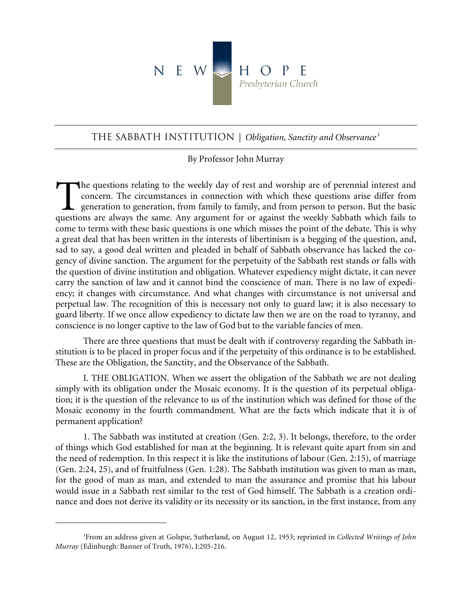## N E W  $H$ O P E Presbyterian Church

## The Sabbath Institution | *Obligation, Sanctity and Observance* <sup>1</sup>

## By Professor John Murray

The questions relating to the weekly day of rest and worship are of perennial interest and concern. The circumstances in connection with which these questions arise differ from generation to generation, from family to fami concern. The circumstances in connection with which these questions arise differ from generation to generation, from family to family, and from person to person. But the basic questions are always the same. Any argument for or against the weekly Sabbath which fails to come to terms with these basic questions is one which misses the point of the debate. This is why a great deal that has been written in the interests of libertinism is a begging of the question, and, sad to say, a good deal written and pleaded in behalf of Sabbath observance has lacked the cogency of divine sanction. The argument for the perpetuity of the Sabbath rest stands or falls with the question of divine institution and obligation. Whatever expediency might dictate, it can never carry the sanction of law and it cannot bind the conscience of man. There is no law of expediency; it changes with circumstance. And what changes with circumstance is not universal and perpetual law. The recognition of this is necessary not only to guard law; it is also necessary to guard liberty. If we once allow expediency to dictate law then we are on the road to tyranny, and conscience is no longer captive to the law of God but to the variable fancies of men.

There are three questions that must be dealt with if controversy regarding the Sabbath institution is to be placed in proper focus and if the perpetuity of this ordinance is to be established. These are the Obligation, the Sanctity, and the Observance of the Sabbath.

I. THE OBLIGATION. When we assert the obligation of the Sabbath we are not dealing simply with its obligation under the Mosaic economy. It is the question of its perpetual obligation; it is the question of the relevance to us of the institution which was defined for those of the Mosaic economy in the fourth commandment. What are the facts which indicate that it is of permanent application?

1. The Sabbath was instituted at creation (Gen. 2:2, 3). It belongs, therefore, to the order of things which God established for man at the beginning. It is relevant quite apart from sin and the need of redemption. In this respect it is like the institutions of labour (Gen. 2:15), of marriage (Gen. 2:24, 25), and of fruitfulness (Gen. 1:28). The Sabbath institution was given to man as man, for the good of man as man, and extended to man the assurance and promise that his labour would issue in a Sabbath rest similar to the rest of God himself. The Sabbath is a creation ordinance and does not derive its validity or its necessity or its sanction, in the first instance, from any

I

<sup>1</sup> From an address given at Golspie, Sutherland, on August 12, 1953; reprinted in *Collected Writings of John Murray* (Edinburgh: Banner of Truth, 1976), I:205-216.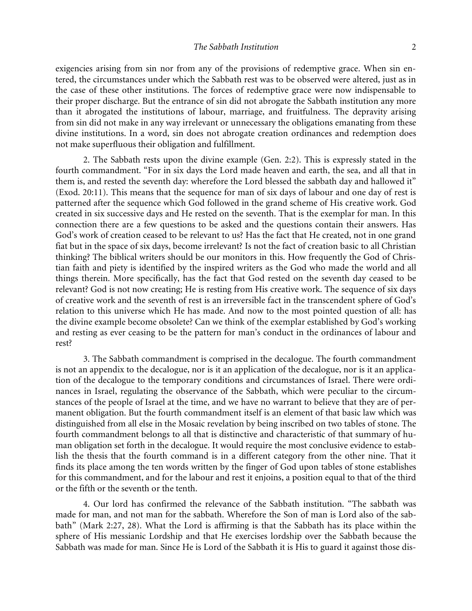exigencies arising from sin nor from any of the provisions of redemptive grace. When sin entered, the circumstances under which the Sabbath rest was to be observed were altered, just as in the case of these other institutions. The forces of redemptive grace were now indispensable to their proper discharge. But the entrance of sin did not abrogate the Sabbath institution any more than it abrogated the institutions of labour, marriage, and fruitfulness. The depravity arising from sin did not make in any way irrelevant or unnecessary the obligations emanating from these divine institutions. In a word, sin does not abrogate creation ordinances and redemption does not make superfluous their obligation and fulfillment.

2. The Sabbath rests upon the divine example (Gen. 2:2). This is expressly stated in the fourth commandment. "For in six days the Lord made heaven and earth, the sea, and all that in them is, and rested the seventh day: wherefore the Lord blessed the sabbath day and hallowed it" (Exod. 20:11). This means that the sequence for man of six days of labour and one day of rest is patterned after the sequence which God followed in the grand scheme of His creative work. God created in six successive days and He rested on the seventh. That is the exemplar for man. In this connection there are a few questions to be asked and the questions contain their answers. Has God's work of creation ceased to be relevant to us? Has the fact that He created, not in one grand fiat but in the space of six days, become irrelevant? Is not the fact of creation basic to all Christian thinking? The biblical writers should be our monitors in this. How frequently the God of Christian faith and piety is identified by the inspired writers as the God who made the world and all things therein. More specifically, has the fact that God rested on the seventh day ceased to be relevant? God is not now creating; He is resting from His creative work. The sequence of six days of creative work and the seventh of rest is an irreversible fact in the transcendent sphere of God's relation to this universe which He has made. And now to the most pointed question of all: has the divine example become obsolete? Can we think of the exemplar established by God's working and resting as ever ceasing to be the pattern for man's conduct in the ordinances of labour and rest?

3. The Sabbath commandment is comprised in the decalogue. The fourth commandment is not an appendix to the decalogue, nor is it an application of the decalogue, nor is it an application of the decalogue to the temporary conditions and circumstances of Israel. There were ordinances in Israel, regulating the observance of the Sabbath, which were peculiar to the circumstances of the people of Israel at the time, and we have no warrant to believe that they are of permanent obligation. But the fourth commandment itself is an element of that basic law which was distinguished from all else in the Mosaic revelation by being inscribed on two tables of stone. The fourth commandment belongs to all that is distinctive and characteristic of that summary of human obligation set forth in the decalogue. It would require the most conclusive evidence to establish the thesis that the fourth command is in a different category from the other nine. That it finds its place among the ten words written by the finger of God upon tables of stone establishes for this commandment, and for the labour and rest it enjoins, a position equal to that of the third or the fifth or the seventh or the tenth.

4. Our lord has confirmed the relevance of the Sabbath institution. "The sabbath was made for man, and not man for the sabbath. Wherefore the Son of man is Lord also of the sabbath" (Mark 2:27, 28). What the Lord is affirming is that the Sabbath has its place within the sphere of His messianic Lordship and that He exercises lordship over the Sabbath because the Sabbath was made for man. Since He is Lord of the Sabbath it is His to guard it against those dis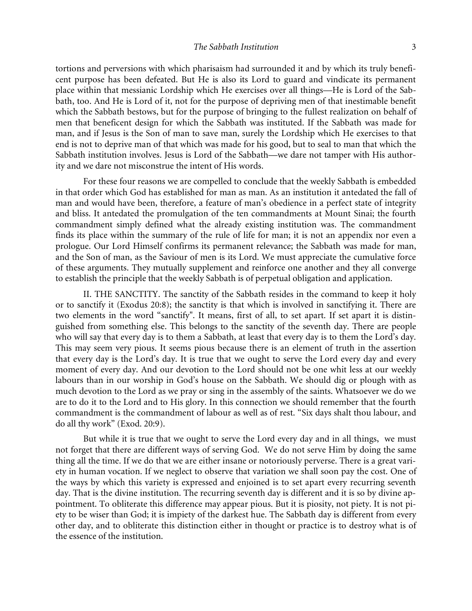tortions and perversions with which pharisaism had surrounded it and by which its truly beneficent purpose has been defeated. But He is also its Lord to guard and vindicate its permanent place within that messianic Lordship which He exercises over all things—He is Lord of the Sabbath, too. And He is Lord of it, not for the purpose of depriving men of that inestimable benefit which the Sabbath bestows, but for the purpose of bringing to the fullest realization on behalf of men that beneficent design for which the Sabbath was instituted. If the Sabbath was made for man, and if Jesus is the Son of man to save man, surely the Lordship which He exercises to that end is not to deprive man of that which was made for his good, but to seal to man that which the Sabbath institution involves. Jesus is Lord of the Sabbath—we dare not tamper with His authority and we dare not misconstrue the intent of His words.

For these four reasons we are compelled to conclude that the weekly Sabbath is embedded in that order which God has established for man as man. As an institution it antedated the fall of man and would have been, therefore, a feature of man's obedience in a perfect state of integrity and bliss. It antedated the promulgation of the ten commandments at Mount Sinai; the fourth commandment simply defined what the already existing institution was. The commandment finds its place within the summary of the rule of life for man; it is not an appendix nor even a prologue. Our Lord Himself confirms its permanent relevance; the Sabbath was made for man, and the Son of man, as the Saviour of men is its Lord. We must appreciate the cumulative force of these arguments. They mutually supplement and reinforce one another and they all converge to establish the principle that the weekly Sabbath is of perpetual obligation and application.

II. THE SANCTITY. The sanctity of the Sabbath resides in the command to keep it holy or to sanctify it (Exodus 20:8); the sanctity is that which is involved in sanctifying it. There are two elements in the word "sanctify". It means, first of all, to set apart. If set apart it is distinguished from something else. This belongs to the sanctity of the seventh day. There are people who will say that every day is to them a Sabbath, at least that every day is to them the Lord's day. This may seem very pious. It seems pious because there is an element of truth in the assertion that every day is the Lord's day. It is true that we ought to serve the Lord every day and every moment of every day. And our devotion to the Lord should not be one whit less at our weekly labours than in our worship in God's house on the Sabbath. We should dig or plough with as much devotion to the Lord as we pray or sing in the assembly of the saints. Whatsoever we do we are to do it to the Lord and to His glory. In this connection we should remember that the fourth commandment is the commandment of labour as well as of rest. "Six days shalt thou labour, and do all thy work" (Exod. 20:9).

But while it is true that we ought to serve the Lord every day and in all things, we must not forget that there are different ways of serving God. We do not serve Him by doing the same thing all the time. If we do that we are either insane or notoriously perverse. There is a great variety in human vocation. If we neglect to observe that variation we shall soon pay the cost. One of the ways by which this variety is expressed and enjoined is to set apart every recurring seventh day. That is the divine institution. The recurring seventh day is different and it is so by divine appointment. To obliterate this difference may appear pious. But it is piosity, not piety. It is not piety to be wiser than God; it is impiety of the darkest hue. The Sabbath day is different from every other day, and to obliterate this distinction either in thought or practice is to destroy what is of the essence of the institution.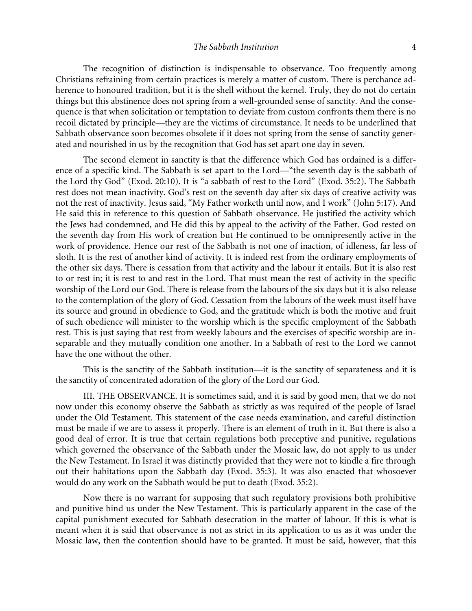## *The Sabbath Institution* 4

The recognition of distinction is indispensable to observance. Too frequently among Christians refraining from certain practices is merely a matter of custom. There is perchance adherence to honoured tradition, but it is the shell without the kernel. Truly, they do not do certain things but this abstinence does not spring from a well-grounded sense of sanctity. And the consequence is that when solicitation or temptation to deviate from custom confronts them there is no recoil dictated by principle—they are the victims of circumstance. It needs to be underlined that Sabbath observance soon becomes obsolete if it does not spring from the sense of sanctity generated and nourished in us by the recognition that God has set apart one day in seven.

The second element in sanctity is that the difference which God has ordained is a difference of a specific kind. The Sabbath is set apart to the Lord—"the seventh day is the sabbath of the Lord thy God" (Exod. 20:10). It is "a sabbath of rest to the Lord" (Exod. 35:2). The Sabbath rest does not mean inactivity. God's rest on the seventh day after six days of creative activity was not the rest of inactivity. Jesus said, "My Father worketh until now, and I work" (John 5:17). And He said this in reference to this question of Sabbath observance. He justified the activity which the Jews had condemned, and He did this by appeal to the activity of the Father. God rested on the seventh day from His work of creation but He continued to be omnipresently active in the work of providence. Hence our rest of the Sabbath is not one of inaction, of idleness, far less of sloth. It is the rest of another kind of activity. It is indeed rest from the ordinary employments of the other six days. There is cessation from that activity and the labour it entails. But it is also rest to or rest in; it is rest to and rest in the Lord. That must mean the rest of activity in the specific worship of the Lord our God. There is release from the labours of the six days but it is also release to the contemplation of the glory of God. Cessation from the labours of the week must itself have its source and ground in obedience to God, and the gratitude which is both the motive and fruit of such obedience will minister to the worship which is the specific employment of the Sabbath rest. This is just saying that rest from weekly labours and the exercises of specific worship are inseparable and they mutually condition one another. In a Sabbath of rest to the Lord we cannot have the one without the other.

This is the sanctity of the Sabbath institution—it is the sanctity of separateness and it is the sanctity of concentrated adoration of the glory of the Lord our God.

III. THE OBSERVANCE. It is sometimes said, and it is said by good men, that we do not now under this economy observe the Sabbath as strictly as was required of the people of Israel under the Old Testament. This statement of the case needs examination, and careful distinction must be made if we are to assess it properly. There is an element of truth in it. But there is also a good deal of error. It is true that certain regulations both preceptive and punitive, regulations which governed the observance of the Sabbath under the Mosaic law, do not apply to us under the New Testament. In Israel it was distinctly provided that they were not to kindle a fire through out their habitations upon the Sabbath day (Exod. 35:3). It was also enacted that whosoever would do any work on the Sabbath would be put to death (Exod. 35:2).

Now there is no warrant for supposing that such regulatory provisions both prohibitive and punitive bind us under the New Testament. This is particularly apparent in the case of the capital punishment executed for Sabbath desecration in the matter of labour. If this is what is meant when it is said that observance is not as strict in its application to us as it was under the Mosaic law, then the contention should have to be granted. It must be said, however, that this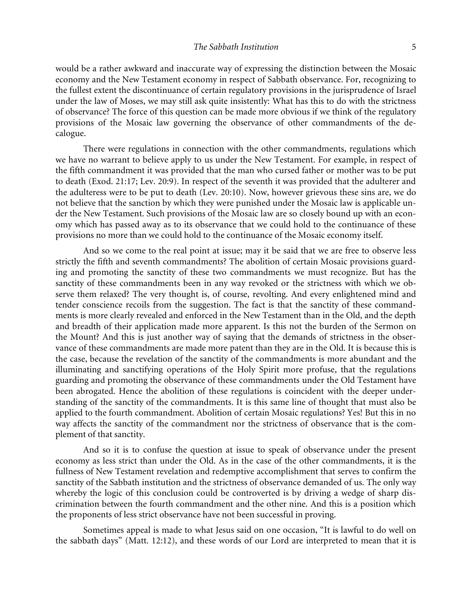would be a rather awkward and inaccurate way of expressing the distinction between the Mosaic economy and the New Testament economy in respect of Sabbath observance. For, recognizing to the fullest extent the discontinuance of certain regulatory provisions in the jurisprudence of Israel under the law of Moses, we may still ask quite insistently: What has this to do with the strictness of observance? The force of this question can be made more obvious if we think of the regulatory provisions of the Mosaic law governing the observance of other commandments of the decalogue.

There were regulations in connection with the other commandments, regulations which we have no warrant to believe apply to us under the New Testament. For example, in respect of the fifth commandment it was provided that the man who cursed father or mother was to be put to death (Exod. 21:17; Lev. 20:9). In respect of the seventh it was provided that the adulterer and the adulteress were to be put to death (Lev. 20:10). Now, however grievous these sins are, we do not believe that the sanction by which they were punished under the Mosaic law is applicable under the New Testament. Such provisions of the Mosaic law are so closely bound up with an economy which has passed away as to its observance that we could hold to the continuance of these provisions no more than we could hold to the continuance of the Mosaic economy itself.

And so we come to the real point at issue; may it be said that we are free to observe less strictly the fifth and seventh commandments? The abolition of certain Mosaic provisions guarding and promoting the sanctity of these two commandments we must recognize. But has the sanctity of these commandments been in any way revoked or the strictness with which we observe them relaxed? The very thought is, of course, revolting. And every enlightened mind and tender conscience recoils from the suggestion. The fact is that the sanctity of these commandments is more clearly revealed and enforced in the New Testament than in the Old, and the depth and breadth of their application made more apparent. Is this not the burden of the Sermon on the Mount? And this is just another way of saying that the demands of strictness in the observance of these commandments are made more patent than they are in the Old. It is because this is the case, because the revelation of the sanctity of the commandments is more abundant and the illuminating and sanctifying operations of the Holy Spirit more profuse, that the regulations guarding and promoting the observance of these commandments under the Old Testament have been abrogated. Hence the abolition of these regulations is coincident with the deeper understanding of the sanctity of the commandments. It is this same line of thought that must also be applied to the fourth commandment. Abolition of certain Mosaic regulations? Yes! But this in no way affects the sanctity of the commandment nor the strictness of observance that is the complement of that sanctity.

And so it is to confuse the question at issue to speak of observance under the present economy as less strict than under the Old. As in the case of the other commandments, it is the fullness of New Testament revelation and redemptive accomplishment that serves to confirm the sanctity of the Sabbath institution and the strictness of observance demanded of us. The only way whereby the logic of this conclusion could be controverted is by driving a wedge of sharp discrimination between the fourth commandment and the other nine. And this is a position which the proponents of less strict observance have not been successful in proving.

Sometimes appeal is made to what Jesus said on one occasion, "It is lawful to do well on the sabbath days" (Matt. 12:12), and these words of our Lord are interpreted to mean that it is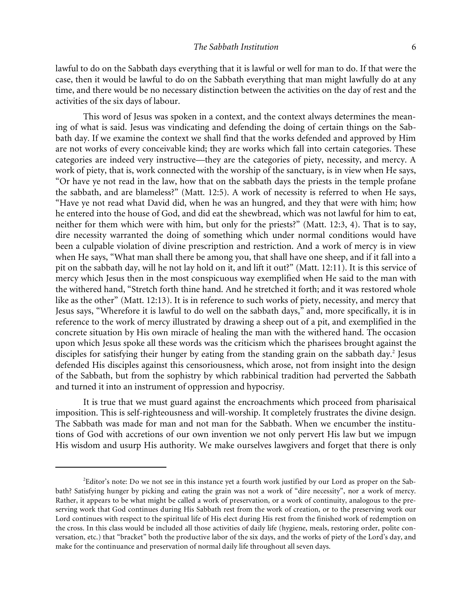lawful to do on the Sabbath days everything that it is lawful or well for man to do. If that were the case, then it would be lawful to do on the Sabbath everything that man might lawfully do at any time, and there would be no necessary distinction between the activities on the day of rest and the activities of the six days of labour.

This word of Jesus was spoken in a context, and the context always determines the meaning of what is said. Jesus was vindicating and defending the doing of certain things on the Sabbath day. If we examine the context we shall find that the works defended and approved by Him are not works of every conceivable kind; they are works which fall into certain categories. These categories are indeed very instructive—they are the categories of piety, necessity, and mercy. A work of piety, that is, work connected with the worship of the sanctuary, is in view when He says, "Or have ye not read in the law, how that on the sabbath days the priests in the temple profane the sabbath, and are blameless?" (Matt. 12:5). A work of necessity is referred to when He says, "Have ye not read what David did, when he was an hungred, and they that were with him; how he entered into the house of God, and did eat the shewbread, which was not lawful for him to eat, neither for them which were with him, but only for the priests?" (Matt. 12:3, 4). That is to say, dire necessity warranted the doing of something which under normal conditions would have been a culpable violation of divine prescription and restriction. And a work of mercy is in view when He says, "What man shall there be among you, that shall have one sheep, and if it fall into a pit on the sabbath day, will he not lay hold on it, and lift it out?" (Matt. 12:11). It is this service of mercy which Jesus then in the most conspicuous way exemplified when He said to the man with the withered hand, "Stretch forth thine hand. And he stretched it forth; and it was restored whole like as the other" (Matt. 12:13). It is in reference to such works of piety, necessity, and mercy that Jesus says, "Wherefore it is lawful to do well on the sabbath days," and, more specifically, it is in reference to the work of mercy illustrated by drawing a sheep out of a pit, and exemplified in the concrete situation by His own miracle of healing the man with the withered hand. The occasion upon which Jesus spoke all these words was the criticism which the pharisees brought against the disciples for satisfying their hunger by eating from the standing grain on the sabbath day.<sup>2</sup> Jesus defended His disciples against this censoriousness, which arose, not from insight into the design of the Sabbath, but from the sophistry by which rabbinical tradition had perverted the Sabbath and turned it into an instrument of oppression and hypocrisy.

It is true that we must guard against the encroachments which proceed from pharisaical imposition. This is self-righteousness and will-worship. It completely frustrates the divine design. The Sabbath was made for man and not man for the Sabbath. When we encumber the institutions of God with accretions of our own invention we not only pervert His law but we impugn His wisdom and usurp His authority. We make ourselves lawgivers and forget that there is only

I

<sup>&</sup>lt;sup>2</sup>Editor's note: Do we not see in this instance yet a fourth work justified by our Lord as proper on the Sabbath? Satisfying hunger by picking and eating the grain was not a work of "dire necessity", nor a work of mercy. Rather, it appears to be what might be called a work of preservation, or a work of continuity, analogous to the preserving work that God continues during His Sabbath rest from the work of creation, or to the preserving work our Lord continues with respect to the spiritual life of His elect during His rest from the finished work of redemption on the cross. In this class would be included all those activities of daily life (hygiene, meals, restoring order, polite conversation, etc.) that "bracket" both the productive labor of the six days, and the works of piety of the Lord's day, and make for the continuance and preservation of normal daily life throughout all seven days.